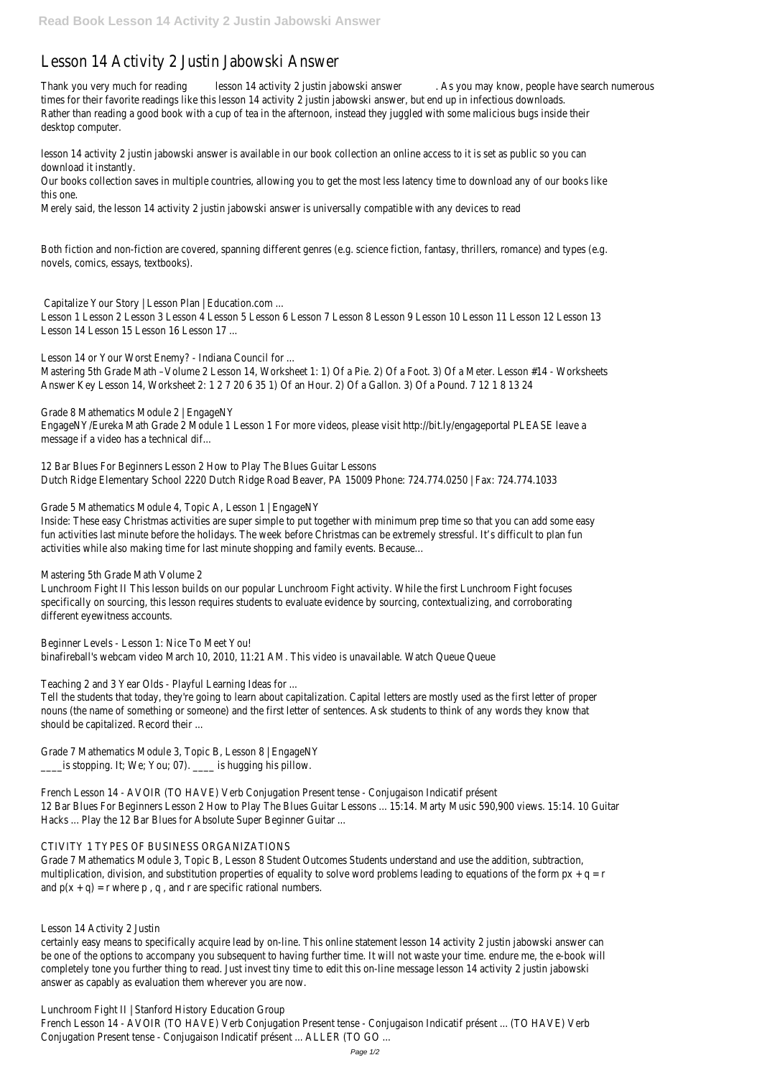# Lesson 14 Activity 2 Justin Jabowski Answer

Thank you very much for reading lesson 14 activity 2 justin jabowski answer . As you may know, people have search numerous times for their favorite readings like this lesson 14 activity 2 justin jabowski answer, but end up in infectious downloads. Rather than reading a good book with a cup of tea in the afternoon, instead they juggled with some malicious bugs inside their desktop computer.

lesson 14 activity 2 justin jabowski answer is available in our book collection an online access to it is set as public so you can download it instantly.

Our books collection saves in multiple countries, allowing you to get the most less latency time to download any of our books like this one.

Merely said, the lesson 14 activity 2 justin jabowski answer is universally compatible with any devices to read

Both fiction and non-fiction are covered, spanning different genres (e.g. science fiction, fantasy, thrillers, romance) and types (e.g. novels, comics, essays, textbooks).

Capitalize Your Story | Lesson Plan | Education.com ...

Lesson 1 Lesson 2 Lesson 3 Lesson 4 Lesson 5 Lesson 6 Lesson 7 Lesson 8 Lesson 9 Lesson 10 Lesson 11 Lesson 12 Lesson 13 Lesson 14 Lesson 15 Lesson 16 Lesson 17 ...

Lesson 14 or Your Worst Enemy? - Indiana Council for ...

Mastering 5th Grade Math –Volume 2 Lesson 14, Worksheet 1: 1) Of a Pie. 2) Of a Foot. 3) Of a Meter. Lesson #14 - Worksheets Answer Key Lesson 14, Worksheet 2: 1 2 7 20 6 35 1) Of an Hour. 2) Of a Gallon. 3) Of a Pound. 7 12 1 8 13 24

Grade 8 Mathematics Module 2 | EngageNY EngageNY/Eureka Math Grade 2 Module 1 Lesson 1 For more videos, please visit http://bit.ly/engageportal PLEASE leave a message if a video has a technical dif...

Grade 7 Mathematics Module 3, Topic B, Lesson 8 Student Outcomes Students understand and use the addition, subtraction, multiplication, division, and substitution properties of equality to solve word problems leading to equations of the form  $px + q = r$ and  $p(x + q) = r$  where p, q, and r are specific rational numbers.

12 Bar Blues For Beginners Lesson 2 How to Play The Blues Guitar Lessons Dutch Ridge Elementary School 2220 Dutch Ridge Road Beaver, PA 15009 Phone: 724.774.0250 | Fax: 724.774.1033

Grade 5 Mathematics Module 4, Topic A, Lesson 1 | EngageNY

Inside: These easy Christmas activities are super simple to put together with minimum prep time so that you can add some easy fun activities last minute before the holidays. The week before Christmas can be extremely stressful. It's difficult to plan fun activities while also making time for last minute shopping and family events. Because…

Mastering 5th Grade Math Volume 2

Lunchroom Fight II This lesson builds on our popular Lunchroom Fight activity. While the first Lunchroom Fight focuses specifically on sourcing, this lesson requires students to evaluate evidence by sourcing, contextualizing, and corroborating different eyewitness accounts.

Beginner Levels - Lesson 1: Nice To Meet You! binafireball's webcam video March 10, 2010, 11:21 AM. This video is unavailable. Watch Queue Queue

Teaching 2 and 3 Year Olds - Playful Learning Ideas for ...

Tell the students that today, they're going to learn about capitalization. Capital letters are mostly used as the first letter of proper nouns (the name of something or someone) and the first letter of sentences. Ask students to think of any words they know that should be capitalized. Record their ...

Grade 7 Mathematics Module 3, Topic B, Lesson 8 | EngageNY \_\_\_\_is stopping. It; We; You; 07). \_\_\_\_ is hugging his pillow.

French Lesson 14 - AVOIR (TO HAVE) Verb Conjugation Present tense - Conjugaison Indicatif présent 12 Bar Blues For Beginners Lesson 2 How to Play The Blues Guitar Lessons ... 15:14. Marty Music 590,900 views. 15:14. 10 Guitar

Hacks ... Play the 12 Bar Blues for Absolute Super Beginner Guitar ...

#### CTIVITY 1 TYPES OF BUSINESS ORGANIZATIONS

Lesson 14 Activity 2 Justin

certainly easy means to specifically acquire lead by on-line. This online statement lesson 14 activity 2 justin jabowski answer can be one of the options to accompany you subsequent to having further time. It will not waste your time. endure me, the e-book will completely tone you further thing to read. Just invest tiny time to edit this on-line message lesson 14 activity 2 justin jabowski answer as capably as evaluation them wherever you are now.

Lunchroom Fight II | Stanford History Education Group French Lesson 14 - AVOIR (TO HAVE) Verb Conjugation Present tense - Conjugaison Indicatif présent ... (TO HAVE) Verb Conjugation Present tense - Conjugaison Indicatif présent ... ALLER (TO GO ...